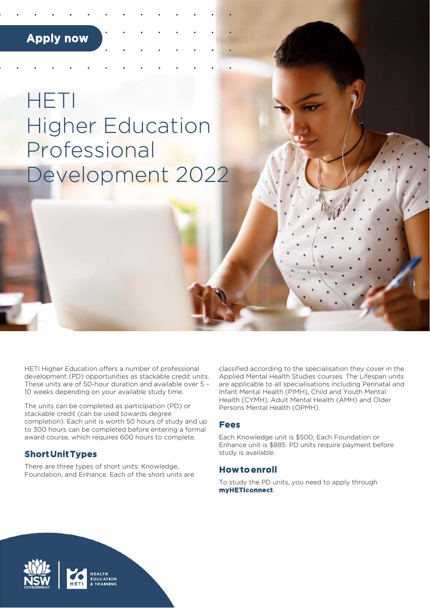# **Apply now**

# HETI Higher Education Professional Development 2022

HETI Higher Education offers a number of professional development (PD) opportunities as stackable credit units. These units are of 50-hour duration and available over 5 – 10 weeks depending on your available study time.

The units can be completed as participation (PD) or stackable credit (can be used towards degree completion). Each unit is worth 50 hours of study and up to 300 hours can be completed before entering a formal award course, which requires 600 hours to complete.

### **Short Unit Types**

There are three types of short units: Knowledge, Foundation, and Enhance. Each of the short units are classified according to the specialisation they cover in the Applied Mental Health Studies courses. The Lifespan units are applicable to all specialisations including Perinatal and Infant Mental Health (PIMH), Child and Youth Mental Health (CYMH), Adult Mental Health (AMH) and Older Persons Mental Health (OPMH).

#### **Fees**

Each Knowledge unit is \$500; Each Foundation or Enhance unit is \$885. PD units require payment before study is available.

#### **How to enroll**

To study the PD units, you need to apply through **myHETIconnect***.*

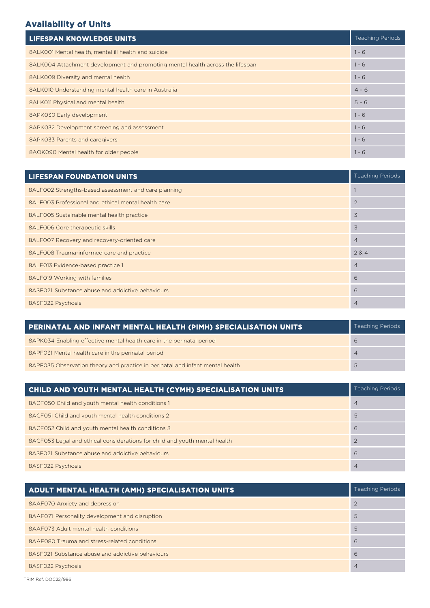# **Availability of Units**

| <b>LIFESPAN KNOWLEDGE UNITS</b>                                                |         |  |  |
|--------------------------------------------------------------------------------|---------|--|--|
| 8ALK001 Mental health, mental ill health and suicide                           | $1 - 6$ |  |  |
| 8ALK004 Attachment development and promoting mental health across the lifespan | $1 - 6$ |  |  |
| 8ALK009 Diversity and mental health                                            | $1 - 6$ |  |  |
| 8ALK010 Understanding mental health care in Australia                          | $4 - 6$ |  |  |
| 8ALK011 Physical and mental health                                             | $5 - 6$ |  |  |
| 8APK030 Early development                                                      | $1 - 6$ |  |  |
| 8APK032 Development screening and assessment                                   | $1 - 6$ |  |  |
| 8APK033 Parents and caregivers                                                 | $1 - 6$ |  |  |
| 8AOK090 Mental health for older people                                         | $1 - 6$ |  |  |

| <b>LIFESPAN FOUNDATION UNITS</b>                     | <b>Teaching Periods</b> |  |  |  |
|------------------------------------------------------|-------------------------|--|--|--|
| 8ALF002 Strengths-based assessment and care planning |                         |  |  |  |
| 8ALF003 Professional and ethical mental health care  |                         |  |  |  |
| 8ALF005 Sustainable mental health practice           | 3                       |  |  |  |
| 8ALF006 Core therapeutic skills                      | 3                       |  |  |  |
| 8ALF007 Recovery and recovery-oriented care          | $\overline{4}$          |  |  |  |
| 8ALF008 Trauma-informed care and practice            | 284                     |  |  |  |
| 8ALF013 Evidence-based practice 1                    | $\overline{4}$          |  |  |  |
| 8ALF019 Working with families                        | 6                       |  |  |  |
| 8ASF021 Substance abuse and addictive behaviours     | 6                       |  |  |  |
| 8ASF022 Psychosis                                    | $\overline{4}$          |  |  |  |

| PERINATAL AND INFANT MENTAL HEALTH (PIMH) SPECIALISATION UNITS                |  |  |
|-------------------------------------------------------------------------------|--|--|
| 8APK034 Enabling effective mental health care in the perinatal period         |  |  |
| 8APF031 Mental health care in the perinatal period                            |  |  |
| 8APF035 Observation theory and practice in perinatal and infant mental health |  |  |

| CHILD AND YOUTH MENTAL HEALTH (CYMH) SPECIALISATION UNITS                  |   |  |
|----------------------------------------------------------------------------|---|--|
| 8ACF050 Child and youth mental health conditions 1                         | 4 |  |
| 8ACF051 Child and youth mental health conditions 2                         | 5 |  |
| 8ACF052 Child and youth mental health conditions 3                         | 6 |  |
| 8ACF053 Legal and ethical considerations for child and youth mental health |   |  |
| 8ASF021 Substance abuse and addictive behaviours                           | 6 |  |
| 8ASF022 Psychosis                                                          |   |  |

| ADULT MENTAL HEALTH (AMH) SPECIALISATION UNITS   |   |  |
|--------------------------------------------------|---|--|
| 8AAF070 Anxiety and depression                   |   |  |
| 8AAF071 Personality development and disruption   | 5 |  |
| 8AAF073 Adult mental health conditions           | 5 |  |
| 8AAF080 Trauma and stress-related conditions     | 6 |  |
| 8ASF021 Substance abuse and addictive behaviours | 6 |  |
| 8ASF022 Psychosis                                | 4 |  |

TRIM Ref. DOC22/996